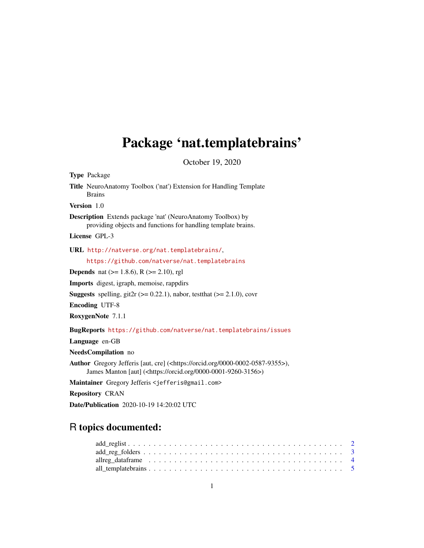# <span id="page-0-0"></span>Package 'nat.templatebrains'

October 19, 2020

Type Package Title NeuroAnatomy Toolbox ('nat') Extension for Handling Template Brains Version 1.0 Description Extends package 'nat' (NeuroAnatomy Toolbox) by providing objects and functions for handling template brains. License GPL-3 URL <http://natverse.org/nat.templatebrains/>, <https://github.com/natverse/nat.templatebrains> **Depends** nat  $(>= 1.8.6)$ , R  $(>= 2.10)$ , rgl Imports digest, igraph, memoise, rappdirs **Suggests** spelling, git2r ( $> = 0.22.1$ ), nabor, test that ( $> = 2.1.0$ ), covr Encoding UTF-8 RoxygenNote 7.1.1 BugReports <https://github.com/natverse/nat.templatebrains/issues> Language en-GB NeedsCompilation no Author Gregory Jefferis [aut, cre] (<https://orcid.org/0000-0002-0587-9355>), James Manton [aut] (<https://orcid.org/0000-0001-9260-3156>) Maintainer Gregory Jefferis <jefferis@gmail.com>

Repository CRAN

Date/Publication 2020-10-19 14:20:02 UTC

## R topics documented:

| $add\_reg\_folders \ldots \ldots \ldots \ldots \ldots \ldots \ldots \ldots \ldots \ldots \ldots \ldots \ldots 3$ |  |  |  |  |  |  |  |  |  |  |  |  |  |  |  |  |  |  |  |  |
|------------------------------------------------------------------------------------------------------------------|--|--|--|--|--|--|--|--|--|--|--|--|--|--|--|--|--|--|--|--|
|                                                                                                                  |  |  |  |  |  |  |  |  |  |  |  |  |  |  |  |  |  |  |  |  |
|                                                                                                                  |  |  |  |  |  |  |  |  |  |  |  |  |  |  |  |  |  |  |  |  |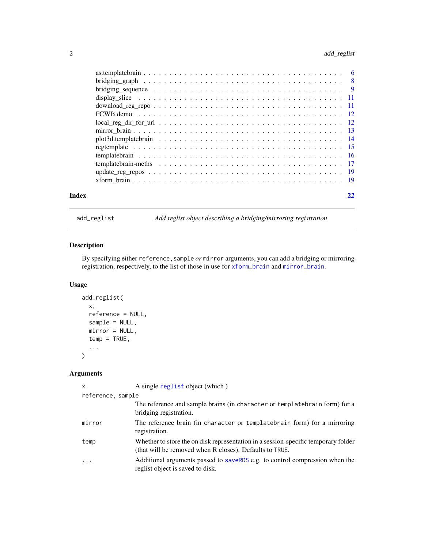## <span id="page-1-0"></span>2 add\_reglist

| Index |                                                                                                                        |  |
|-------|------------------------------------------------------------------------------------------------------------------------|--|
|       |                                                                                                                        |  |
|       |                                                                                                                        |  |
|       |                                                                                                                        |  |
|       |                                                                                                                        |  |
|       |                                                                                                                        |  |
|       |                                                                                                                        |  |
|       |                                                                                                                        |  |
|       | $local\_reg\_dir\_for\_url \ldots \ldots \ldots \ldots \ldots \ldots \ldots \ldots \ldots \ldots \ldots \ldots \ldots$ |  |
|       |                                                                                                                        |  |
|       |                                                                                                                        |  |
|       |                                                                                                                        |  |
|       | bridging sequence $\ldots \ldots \ldots \ldots \ldots \ldots \ldots \ldots \ldots \ldots \ldots \ldots$                |  |
|       |                                                                                                                        |  |
|       |                                                                                                                        |  |

add\_reglist *Add reglist object describing a bridging/mirroring registration*

## Description

By specifying either reference,sample *or* mirror arguments, you can add a bridging or mirroring registration, respectively, to the list of those in use for [xform\\_brain](#page-18-1) and [mirror\\_brain](#page-12-1).

#### Usage

```
add_reglist(
 x,
 reference = NULL,
 sample = NULL,
 mirror = NULL,
 temp = TRUE,...
)
```
## Arguments

x A single [reglist](#page-0-0) object (which )

| reference, sample |                                                                                                                                               |
|-------------------|-----------------------------------------------------------------------------------------------------------------------------------------------|
|                   | The reference and sample brains (in character or templatebrain form) for a<br>bridging registration.                                          |
| mirror            | The reference brain (in character or templatebrain form) for a mirroring<br>registration.                                                     |
| temp              | Whether to store the on disk representation in a session-specific temporary folder<br>(that will be removed when R closes). Defaults to TRUE. |
| $\ddotsc$         | Additional arguments passed to saveRDS e.g. to control compression when the<br>reglist object is saved to disk.                               |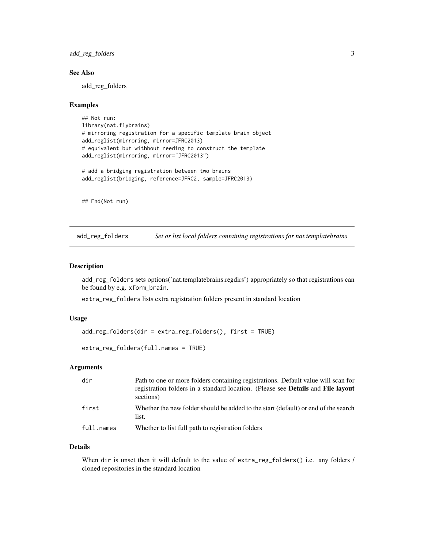<span id="page-2-0"></span>add\_reg\_folders 3

#### See Also

add\_reg\_folders

#### Examples

```
## Not run:
library(nat.flybrains)
# mirroring registration for a specific template brain object
add_reglist(mirroring, mirror=JFRC2013)
# equivalent but withhout needing to construct the template
add_reglist(mirroring, mirror="JFRC2013")
```

```
# add a bridging registration between two brains
add_reglist(bridging, reference=JFRC2, sample=JFRC2013)
```
## End(Not run)

<span id="page-2-1"></span>add\_reg\_folders *Set or list local folders containing registrations for nat.templatebrains*

#### Description

add\_reg\_folders sets options('nat.templatebrains.regdirs') appropriately so that registrations can be found by e.g. xform\_brain.

extra\_reg\_folders lists extra registration folders present in standard location

#### Usage

```
add_reg_folders(dir = extra_reg_folders(), first = TRUE)
```

```
extra_reg_folders(full.names = TRUE)
```
#### Arguments

| dir        | Path to one or more folders containing registrations. Default value will scan for<br>registration folders in a standard location. (Please see <b>Details</b> and <b>File layout</b><br>sections) |
|------------|--------------------------------------------------------------------------------------------------------------------------------------------------------------------------------------------------|
| first      | Whether the new folder should be added to the start (default) or end of the search<br>list.                                                                                                      |
| full.names | Whether to list full path to registration folders                                                                                                                                                |

#### Details

When dir is unset then it will default to the value of extra\_reg\_folders() i.e. any folders / cloned repositories in the standard location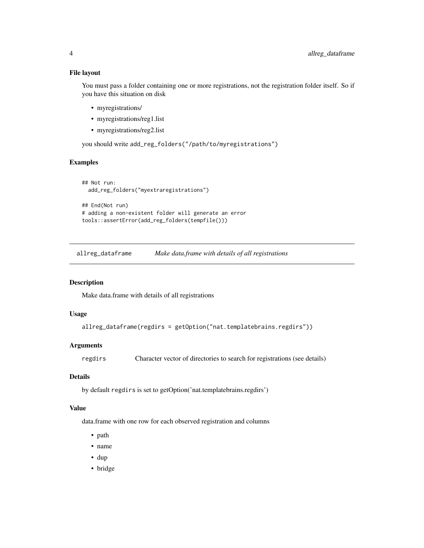#### <span id="page-3-0"></span>File layout

You must pass a folder containing one or more registrations, not the registration folder itself. So if you have this situation on disk

- myregistrations/
- myregistrations/reg1.list
- myregistrations/reg2.list

you should write add\_reg\_folders("/path/to/myregistrations")

#### Examples

```
## Not run:
 add_reg_folders("myextraregistrations")
## End(Not run)
# adding a non-existent folder will generate an error
```
tools::assertError(add\_reg\_folders(tempfile()))

<span id="page-3-1"></span>allreg\_dataframe *Make data.frame with details of all registrations*

#### Description

Make data.frame with details of all registrations

#### Usage

```
allreg_dataframe(regdirs = getOption("nat.templatebrains.regdirs"))
```
#### Arguments

regdirs Character vector of directories to search for registrations (see details)

## Details

by default regdirs is set to getOption('nat.templatebrains.regdirs')

#### Value

data.frame with one row for each observed registration and columns

- path
- name
- dup
- bridge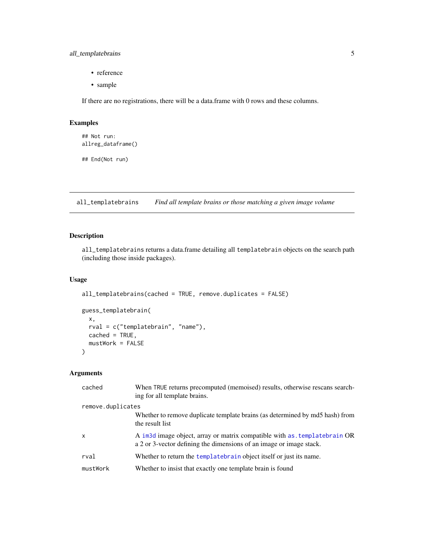## <span id="page-4-0"></span>all\_templatebrains 5

- reference
- sample

If there are no registrations, there will be a data.frame with 0 rows and these columns.

## Examples

```
## Not run:
allreg_dataframe()
```
## End(Not run)

all\_templatebrains *Find all template brains or those matching a given image volume*

## Description

all\_templatebrains returns a data.frame detailing all templatebrain objects on the search path (including those inside packages).

#### Usage

```
all_templatebrains(cached = TRUE, remove.duplicates = FALSE)
guess_templatebrain(
 x,
 rval = c("templatebrain", "name"),
 cached = TRUE,
```
## Arguments

)

mustWork = FALSE

| cached            | When TRUE returns precomputed (memoised) results, otherwise rescans search-<br>ing for all template brains.                                                  |  |  |  |  |  |
|-------------------|--------------------------------------------------------------------------------------------------------------------------------------------------------------|--|--|--|--|--|
| remove.duplicates |                                                                                                                                                              |  |  |  |  |  |
|                   | Whether to remove duplicate template brains (as determined by md5 hash) from<br>the result list                                                              |  |  |  |  |  |
| X                 | A im <sub>3</sub> d image object, array or matrix compatible with as templatebrain OR<br>a 2 or 3-vector defining the dimensions of an image or image stack. |  |  |  |  |  |
| rval              | Whether to return the templatebrain object itself or just its name.                                                                                          |  |  |  |  |  |
| mustWork          | Whether to insist that exactly one template brain is found                                                                                                   |  |  |  |  |  |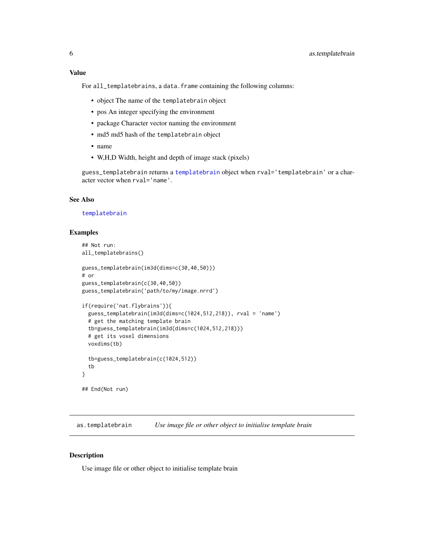### <span id="page-5-0"></span>Value

For all\_templatebrains, a data.frame containing the following columns:

- object The name of the templatebrain object
- pos An integer specifying the environment
- package Character vector naming the environment
- md5 md5 hash of the templatebrain object
- name
- W,H,D Width, height and depth of image stack (pixels)

guess\_templatebrain returns a [templatebrain](#page-15-1) object when rval='templatebrain' or a character vector when rval='name'.

## See Also

#### [templatebrain](#page-15-1)

## Examples

```
## Not run:
all_templatebrains()
guess_templatebrain(im3d(dims=c(30,40,50)))
# or
guess_templatebrain(c(30,40,50))
guess_templatebrain('path/to/my/image.nrrd')
if(require('nat.flybrains')){
 guess_templatebrain(im3d(dims=c(1024,512,218)), rval = 'name')
 # get the matching template brain
 tb=guess_templatebrain(im3d(dims=c(1024,512,218)))
 # get its voxel dimensions
 voxdims(tb)
 tb=guess_templatebrain(c(1024,512))
 tb
}
## End(Not run)
```
<span id="page-5-1"></span>as.templatebrain *Use image file or other object to initialise template brain*

#### Description

Use image file or other object to initialise template brain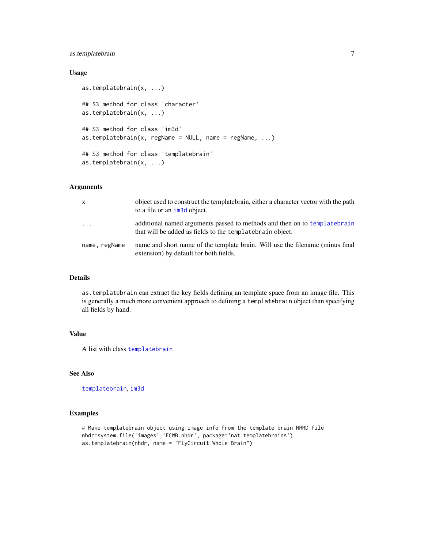## <span id="page-6-0"></span>as.templatebrain 7

### Usage

```
as.templatebrain(x, ...)
## S3 method for class 'character'
as.templatebrain(x, ...)
## S3 method for class 'im3d'
as.templatebrain(x, regName = NULL, name = regName, \ldots)
## S3 method for class 'templatebrain'
as.templatebrain(x, ...)
```
## Arguments

| $\mathsf{x}$  | object used to construct the templatebrain, either a character vector with the path<br>to a file or an im <sub>3d</sub> object.         |
|---------------|-----------------------------------------------------------------------------------------------------------------------------------------|
| .             | additional named arguments passed to methods and then on to template brain<br>that will be added as fields to the templatebrain object. |
| name, regName | name and short name of the template brain. Will use the filename (minus final<br>extension) by default for both fields.                 |

#### Details

as.templatebrain can extract the key fields defining an template space from an image file. This is generally a much more convenient approach to defining a templatebrain object than specifying all fields by hand.

#### Value

A list with class [templatebrain](#page-15-1)

### See Also

[templatebrain](#page-15-1), [im3d](#page-0-0)

## Examples

```
# Make templatebrain object using image info from the template brain NRRD file
nhdr=system.file('images','FCWB.nhdr', package='nat.templatebrains')
as.templatebrain(nhdr, name = "FlyCircuit Whole Brain")
```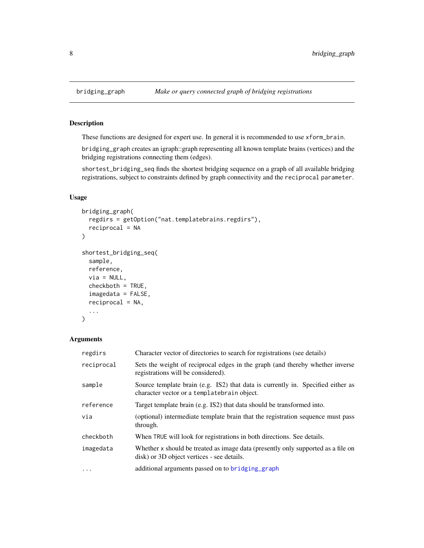#### <span id="page-7-2"></span>Description

These functions are designed for expert use. In general it is recommended to use xform\_brain.

bridging\_graph creates an igraph::graph representing all known template brains (vertices) and the bridging registrations connecting them (edges).

shortest\_bridging\_seq finds the shortest bridging sequence on a graph of all available bridging registrations, subject to constraints defined by graph connectivity and the reciprocal parameter.

## Usage

```
bridging_graph(
  regdirs = getOption("nat.templatebrains.regdirs"),
  reciprocal = NA
\mathcal{L}shortest_bridging_seq(
  sample,
  reference,
  via = NULL,checkboth = TRUE,
  imagedata = FALSE,
  reciprocal = NA,
  ...
)
```
#### Arguments

| regdirs    | Character vector of directories to search for registrations (see details)                                                      |
|------------|--------------------------------------------------------------------------------------------------------------------------------|
| reciprocal | Sets the weight of reciprocal edges in the graph (and thereby whether inverse<br>registrations will be considered).            |
| sample     | Source template brain (e.g. IS2) that data is currently in. Specified either as<br>character vector or a templatebrain object. |
| reference  | Target template brain (e.g. IS2) that data should be transformed into.                                                         |
| via        | (optional) intermediate template brain that the registration sequence must pass<br>through.                                    |
| checkboth  | When TRUE will look for registrations in both directions. See details.                                                         |
| imagedata  | Whether x should be treated as image data (presently only supported as a file on<br>disk) or 3D object vertices - see details. |
| $\cdots$   | additional arguments passed on to bridging graph                                                                               |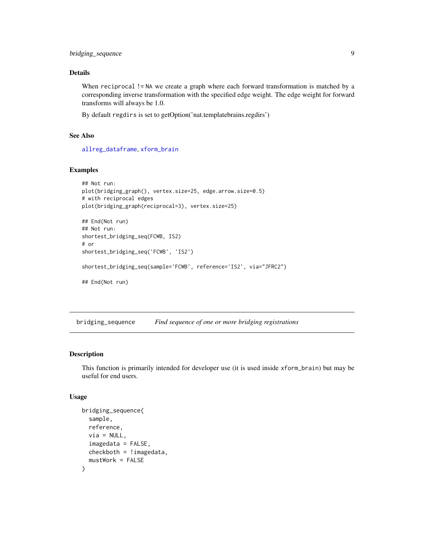<span id="page-8-0"></span>bridging\_sequence 9

#### Details

When reciprocal != NA we create a graph where each forward transformation is matched by a corresponding inverse transformation with the specified edge weight. The edge weight for forward transforms will always be 1.0.

By default regdirs is set to getOption('nat.templatebrains.regdirs')

## See Also

[allreg\\_dataframe](#page-3-1), [xform\\_brain](#page-18-1)

#### Examples

```
## Not run:
plot(bridging_graph(), vertex.size=25, edge.arrow.size=0.5)
# with reciprocal edges
plot(bridging_graph(reciprocal=3), vertex.size=25)
## End(Not run)
## Not run:
shortest_bridging_seq(FCWB, IS2)
# or
shortest_bridging_seq('FCWB', 'IS2')
shortest_bridging_seq(sample='FCWB', reference='IS2', via="JFRC2")
## End(Not run)
```
bridging\_sequence *Find sequence of one or more bridging registrations*

## Description

This function is primarily intended for developer use (it is used inside xform\_brain) but may be useful for end users.

## Usage

```
bridging_sequence(
  sample,
  reference,
 via = NULL,imagedata = FALSE,
 checkboth = !imagedata,
  mustWork = FALSE
)
```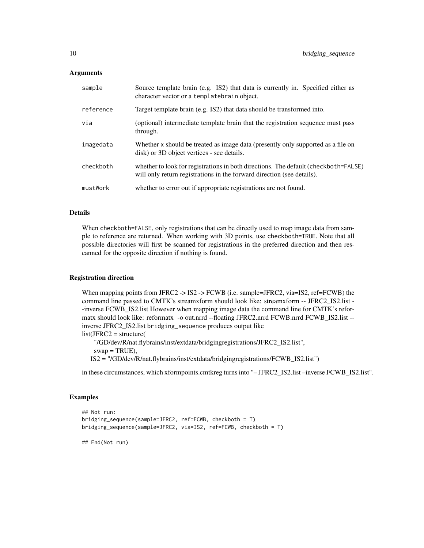#### Arguments

| sample    | Source template brain (e.g. IS2) that data is currently in. Specified either as<br>character vector or a templatebrain object.                                |
|-----------|---------------------------------------------------------------------------------------------------------------------------------------------------------------|
| reference | Target template brain (e.g. IS2) that data should be transformed into.                                                                                        |
| via       | (optional) intermediate template brain that the registration sequence must pass<br>through.                                                                   |
| imagedata | Whether x should be treated as image data (presently only supported as a file on<br>disk) or 3D object vertices - see details.                                |
| checkboth | whether to look for registrations in both directions. The default (checkboth=FALSE)<br>will only return registrations in the forward direction (see details). |
| mustWork  | whether to error out if appropriate registrations are not found.                                                                                              |

#### Details

When checkboth=FALSE, only registrations that can be directly used to map image data from sample to reference are returned. When working with 3D points, use checkboth=TRUE. Note that all possible directories will first be scanned for registrations in the preferred direction and then rescanned for the opposite direction if nothing is found.

#### Registration direction

When mapping points from JFRC2 -> IS2 -> FCWB (i.e. sample=JFRC2, via=IS2, ref=FCWB) the command line passed to CMTK's streamxform should look like: streamxform -- JFRC2\_IS2.list - -inverse FCWB\_IS2.list However when mapping image data the command line for CMTK's reformatx should look like: reformatx -o out.nrrd --floating JFRC2.nrrd FCWB.nrrd FCWB\_IS2.list - inverse JFRC2\_IS2.list bridging\_sequence produces output like

list(JFRC2 = structure(

"/GD/dev/R/nat.flybrains/inst/extdata/bridgingregistrations/JFRC2\_IS2.list",  $swap = TRUE$ ),

IS2 = "/GD/dev/R/nat.flybrains/inst/extdata/bridgingregistrations/FCWB\_IS2.list")

in these circumstances, which xformpoints.cmtkreg turns into "– JFRC2\_IS2.list –inverse FCWB\_IS2.list".

## Examples

```
## Not run:
bridging_sequence(sample=JFRC2, ref=FCWB, checkboth = T)
bridging_sequence(sample=JFRC2, via=IS2, ref=FCWB, checkboth = T)
```
## End(Not run)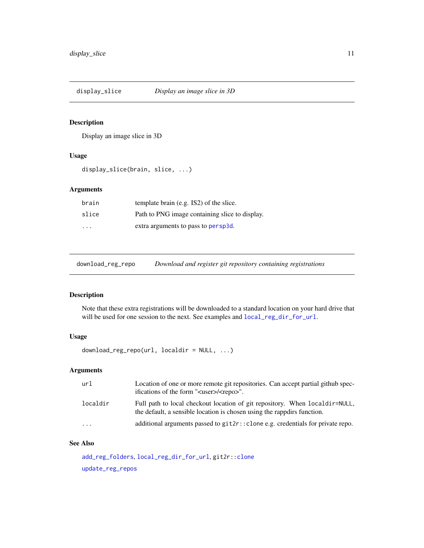<span id="page-10-0"></span>display\_slice *Display an image slice in 3D*

#### Description

Display an image slice in 3D

## Usage

display\_slice(brain, slice, ...)

## Arguments

| brain                   | template brain (e.g. IS2) of the slice.        |
|-------------------------|------------------------------------------------|
| slice                   | Path to PNG image containing slice to display. |
| $\cdot$ $\cdot$ $\cdot$ | extra arguments to pass to persp3d.            |

<span id="page-10-1"></span>download\_reg\_repo *Download and register git repository containing registrations*

## Description

Note that these extra registrations will be downloaded to a standard location on your hard drive that will be used for one session to the next. See examples and [local\\_reg\\_dir\\_for\\_url](#page-11-1).

## Usage

download\_reg\_repo(url, localdir = NULL, ...)

## Arguments

| url                     | Location of one or more remote git repositories. Can accept partial github spec-<br>ifications of the form " <user>/<repo>".</repo></user>             |
|-------------------------|--------------------------------------------------------------------------------------------------------------------------------------------------------|
| localdir                | Full path to local checkout location of git repository. When localdir=NULL,<br>the default, a sensible location is chosen using the rappoirs function. |
| $\cdot$ $\cdot$ $\cdot$ | additional arguments passed to $git2r$ : clone e.g. credentials for private repo.                                                                      |

## See Also

[add\\_reg\\_folders](#page-2-1), [local\\_reg\\_dir\\_for\\_url](#page-11-1), git2r:[:clone](#page-0-0) [update\\_reg\\_repos](#page-18-2)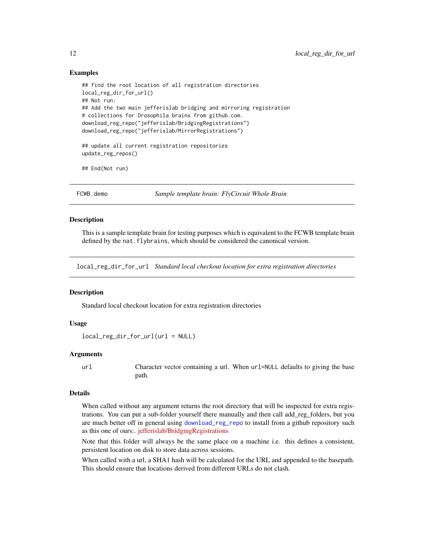#### Examples

```
## find the root location of all registration directories
local_reg_dir_for_url()
## Not run:
## Add the two main jefferislab bridging and mirroring registration
# collections for Drosophila brains from github.com.
download_reg_repo("jefferislab/BridgingRegistrations")
download_reg_repo("jefferislab/MirrorRegistrations")
```

```
## update all current registration repositories
update_reg_repos()
```
## End(Not run)

FCWB.demo *Sample template brain: FlyCircuit Whole Brain*

#### Description

This is a sample template brain for testing purposes which is equivalent to the FCWB template brain defined by the nat. flybrains, which should be considered the canonical version.

<span id="page-11-1"></span>local\_reg\_dir\_for\_url *Standard local checkout location for extra registration directories*

#### Description

Standard local checkout location for extra registration directories

#### Usage

```
local_reg\_dir\_for\_url(url = NULL)
```
#### Arguments

url Character vector containing a url. When url=NULL defaults to giving the base path.

#### Details

When called without any argument returns the root directory that will be inspected for extra registrations. You can put a sub-folder yourself there manually and then call add\_reg\_folders, but you are much better off in general using [download\\_reg\\_repo](#page-10-1) to install from a github repository such as this one of ours:. [jefferislab/BridgingRegistrations](https://github.com/jefferislab/BridgingRegistrations)

Note that this folder will always be the same place on a machine i.e. this defines a consistent, persistent location on disk to store data across sessions.

When called with a url, a SHA1 hash will be calculated for the URL and appended to the basepath. This should ensure that locations derived from different URLs do not clash.

<span id="page-11-0"></span>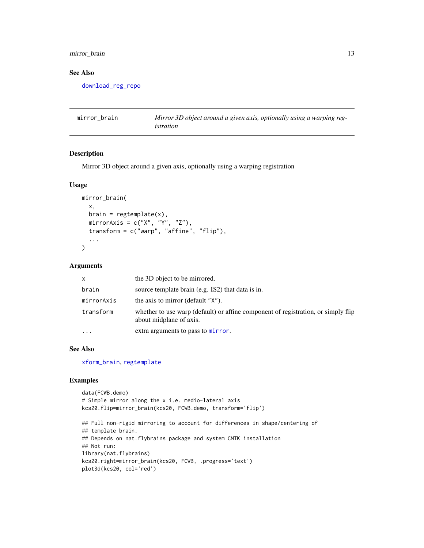## <span id="page-12-0"></span>mirror\_brain 13

#### See Also

[download\\_reg\\_repo](#page-10-1)

<span id="page-12-1"></span>

| mirror brain | Mirror 3D object around a given axis, optionally using a warping reg- |
|--------------|-----------------------------------------------------------------------|
|              | istration                                                             |

## Description

Mirror 3D object around a given axis, optionally using a warping registration

#### Usage

```
mirror_brain(
  x,
  brain = regtemplate(x),
  mirrorAxis = c("X", "Y", "Z"),
  transform = c("warp", "affine", "flip"),
  ...
\mathcal{L}
```
#### Arguments

| $\mathsf{x}$ | the 3D object to be mirrored.                                                                                |
|--------------|--------------------------------------------------------------------------------------------------------------|
| brain        | source template brain (e.g. IS2) that data is in.                                                            |
| mirrorAxis   | the axis to mirror (default "X").                                                                            |
| transform    | whether to use warp (default) or affine component of registration, or simply flip<br>about midplane of axis. |
|              | extra arguments to pass to mirror.                                                                           |

#### See Also

[xform\\_brain](#page-18-1), [regtemplate](#page-14-1)

## Examples

```
data(FCWB.demo)
# Simple mirror along the x i.e. medio-lateral axis
kcs20.flip=mirror_brain(kcs20, FCWB.demo, transform='flip')
## Full non-rigid mirroring to account for differences in shape/centering of
## template brain.
## Depends on nat.flybrains package and system CMTK installation
## Not run:
library(nat.flybrains)
kcs20.right=mirror_brain(kcs20, FCWB, .progress='text')
plot3d(kcs20, col='red')
```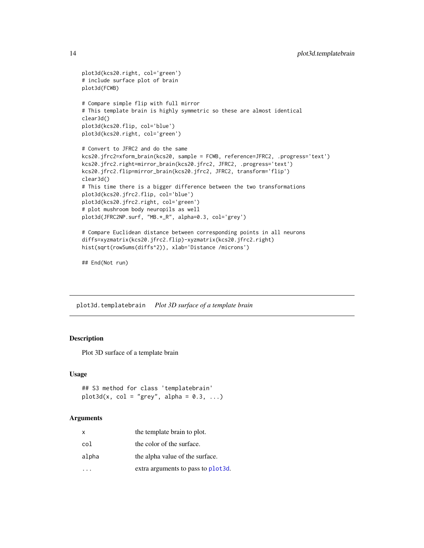```
plot3d(kcs20.right, col='green')
# include surface plot of brain
plot3d(FCWB)
# Compare simple flip with full mirror
# This template brain is highly symmetric so these are almost identical
clear3d()
plot3d(kcs20.flip, col='blue')
plot3d(kcs20.right, col='green')
# Convert to JFRC2 and do the same
kcs20.jfrc2=xform_brain(kcs20, sample = FCWB, reference=JFRC2, .progress='text')
kcs20.jfrc2.right=mirror_brain(kcs20.jfrc2, JFRC2, .progress='text')
kcs20.jfrc2.flip=mirror_brain(kcs20.jfrc2, JFRC2, transform='flip')
clear3d()
# This time there is a bigger difference between the two transformations
plot3d(kcs20.jfrc2.flip, col='blue')
plot3d(kcs20.jfrc2.right, col='green')
# plot mushroom body neuropils as well
plot3d(JFRC2NP.surf, "MB.*_R", alpha=0.3, col='grey')
# Compare Euclidean distance between corresponding points in all neurons
diffs=xyzmatrix(kcs20.jfrc2.flip)-xyzmatrix(kcs20.jfrc2.right)
hist(sqrt(rowSums(diffs^2)), xlab='Distance /microns')
```
## End(Not run)

plot3d.templatebrain *Plot 3D surface of a template brain*

## Description

Plot 3D surface of a template brain

#### Usage

## S3 method for class 'templatebrain'  $plot3d(x, col = "grey", alpha = 0.3, ...)$ 

#### Arguments

| x     | the template brain to plot.         |
|-------|-------------------------------------|
| col   | the color of the surface.           |
| alpha | the alpha value of the surface.     |
|       | extra arguments to pass to plot 3d. |

<span id="page-13-0"></span>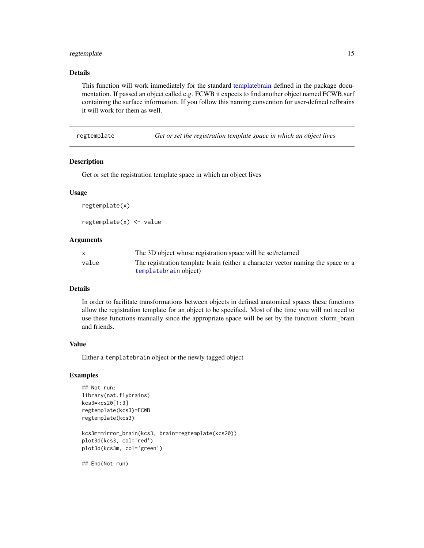## <span id="page-14-0"></span>regtemplate 15

### Details

This function will work immediately for the standard [templatebrain](#page-15-1) defined in the package documentation. If passed an object called e.g. FCWB it expects to find another object named FCWB.surf containing the surface information. If you follow this naming convention for user-defined refbrains it will work for them as well.

<span id="page-14-1"></span>regtemplate *Get or set the registration template space in which an object lives*

#### Description

Get or set the registration template space in which an object lives

#### Usage

regtemplate(x)

regtemplate(x) <- value

## Arguments

|       | The 3D object whose registration space will be set/returned                      |
|-------|----------------------------------------------------------------------------------|
| value | The registration template brain (either a character vector naming the space or a |
|       | templatebrain object)                                                            |

### Details

In order to facilitate transformations between objects in defined anatomical spaces these functions allow the registration template for an object to be specified. Most of the time you will not need to use these functions manually since the appropriate space will be set by the function xform\_brain and friends.

## Value

Either a templatebrain object or the newly tagged object

#### Examples

```
## Not run:
library(nat.flybrains)
kcs3=kcs20[1:3]
regtemplate(kcs3)=FCWB
regtemplate(kcs3)
kcs3m=mirror_brain(kcs3, brain=regtemplate(kcs20))
plot3d(kcs3, col='red')
plot3d(kcs3m, col='green')
```
## End(Not run)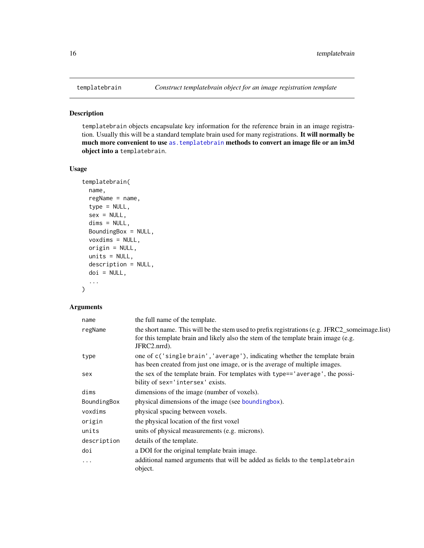#### Description

templatebrain objects encapsulate key information for the reference brain in an image registration. Usually this will be a standard template brain used for many registrations. It will normally be much more convenient to use [as.templatebrain](#page-5-1) methods to convert an image file or an im3d object into a templatebrain.

#### Usage

```
templatebrain(
  name,
  regName = name,
  type = NULL,
  sex = NULL,dims = NULL,
 BoundingBox = NULL,
 voxdims = NULL,
 origin = NULL,
 units = NULL,
 description = NULL,
  doi = NULL,
  ...
)
```
#### Arguments

| name        | the full name of the template.                                                                                                                                                                       |
|-------------|------------------------------------------------------------------------------------------------------------------------------------------------------------------------------------------------------|
| regName     | the short name. This will be the stem used to prefix registrations (e.g. JFRC2_someimage.list)<br>for this template brain and likely also the stem of the template brain image (e.g.<br>JFRC2.nrrd). |
| type        | one of c('single brain', 'average'), indicating whether the template brain<br>has been created from just one image, or is the average of multiple images.                                            |
| sex         | the sex of the template brain. For templates with type== 'average', the possi-<br>bility of sex='intersex' exists.                                                                                   |
| dims        | dimensions of the image (number of voxels).                                                                                                                                                          |
| BoundingBox | physical dimensions of the image (see boundingbox).                                                                                                                                                  |
| voxdims     | physical spacing between voxels.                                                                                                                                                                     |
| origin      | the physical location of the first voxel                                                                                                                                                             |
| units       | units of physical measurements (e.g. microns).                                                                                                                                                       |
| description | details of the template.                                                                                                                                                                             |
| doi         | a DOI for the original template brain image.                                                                                                                                                         |
| $\ddots$    | additional named arguments that will be added as fields to the template brain<br>object.                                                                                                             |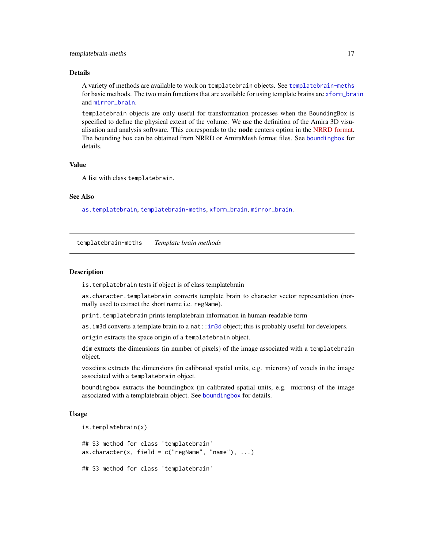#### <span id="page-16-0"></span>Details

A variety of methods are available to work on templatebrain objects. See [templatebrain-meths](#page-16-1) for basic methods. The two main functions that are available for using template brains are [xform\\_brain](#page-18-1) and [mirror\\_brain](#page-12-1).

templatebrain objects are only useful for transformation processes when the BoundingBox is specified to define the physical extent of the volume. We use the definition of the Amira 3D visualisation and analysis software. This corresponds to the **node** centers option in the [NRRD format.](http://teem.sourceforge.net/nrrd/format.html) The bounding box can be obtained from NRRD or AmiraMesh format files. See [boundingbox](#page-0-0) for details.

#### Value

A list with class templatebrain.

#### See Also

[as.templatebrain](#page-5-1), [templatebrain-meths](#page-16-1), [xform\\_brain](#page-18-1), [mirror\\_brain](#page-12-1).

<span id="page-16-1"></span>templatebrain-meths *Template brain methods*

#### **Description**

is.templatebrain tests if object is of class templatebrain

as.character.templatebrain converts template brain to character vector representation (normally used to extract the short name i.e. regName).

print.templatebrain prints templatebrain information in human-readable form

as. im3d converts a template brain to a nat:[:im3d](#page-0-0) object; this is probably useful for developers.

origin extracts the space origin of a templatebrain object.

dim extracts the dimensions (in number of pixels) of the image associated with a templatebrain object.

voxdims extracts the dimensions (in calibrated spatial units, e.g. microns) of voxels in the image associated with a templatebrain object.

boundingbox extracts the boundingbox (in calibrated spatial units, e.g. microns) of the image associated with a templatebrain object. See [boundingbox](#page-0-0) for details.

#### Usage

```
is.templatebrain(x)
## S3 method for class 'templatebrain'
as.character(x, field = c("regName", "name"), ...)
## S3 method for class 'templatebrain'
```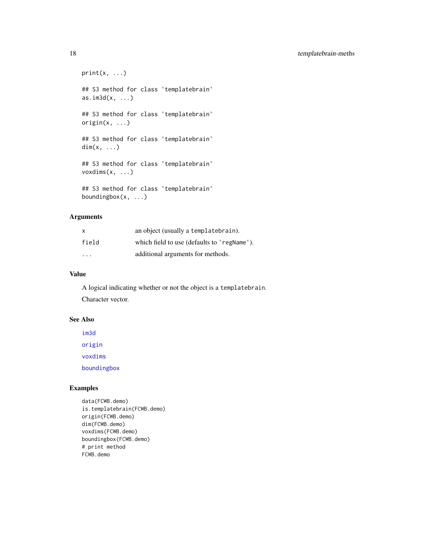<span id="page-17-0"></span>18 templatebrain-meths

```
print(x, \ldots)## S3 method for class 'templatebrain'
as.im3d(x, \ldots)## S3 method for class 'templatebrain'
origin(x, \ldots)## S3 method for class 'templatebrain'
dim(x, \ldots)## S3 method for class 'templatebrain'
voxdims(x, ...)
## S3 method for class 'templatebrain'
boundingbox(x, ...)
```
## Arguments

| X                       | an object (usually a templatebrain).        |
|-------------------------|---------------------------------------------|
| field                   | which field to use (defaults to 'regName'). |
| $\cdot$ $\cdot$ $\cdot$ | additional arguments for methods.           |

## Value

A logical indicating whether or not the object is a templatebrain. Character vector.

## See Also

[im3d](#page-0-0)

[origin](#page-0-0)

[voxdims](#page-0-0)

[boundingbox](#page-0-0)

## Examples

```
data(FCWB.demo)
is.templatebrain(FCWB.demo)
origin(FCWB.demo)
dim(FCWB.demo)
voxdims(FCWB.demo)
boundingbox(FCWB.demo)
# print method
FCWB.demo
```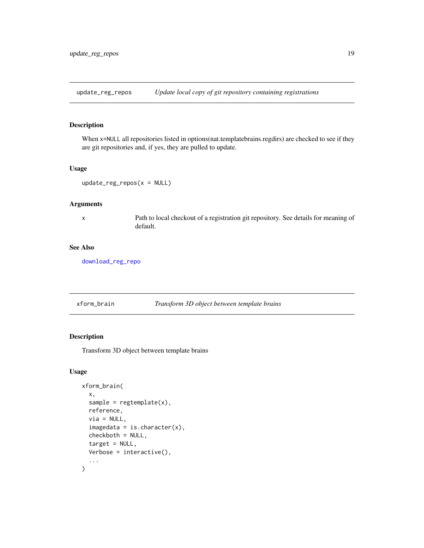<span id="page-18-2"></span><span id="page-18-0"></span>update\_reg\_repos *Update local copy of git repository containing registrations*

## Description

When x=NULL all repositories listed in options(nat.templatebrains.regdirs) are checked to see if they are git repositories and, if yes, they are pulled to update.

#### Usage

```
update_reg_repos(x = NULL)
```
## Arguments

x Path to local checkout of a registration git repository. See details for meaning of default.

## See Also

[download\\_reg\\_repo](#page-10-1)

<span id="page-18-1"></span>

| xform_brain | Transform 3D object between template brains |
|-------------|---------------------------------------------|
|             |                                             |

## Description

Transform 3D object between template brains

#### Usage

```
xform_brain(
  x,
  sample = regtemplate(x),
  reference,
  via = NULL,
  imagedata = is.charAtacter(x),
  checkboth = NULL,
  target = NULL,Verbose = interactive(),
  ...
\mathcal{E}
```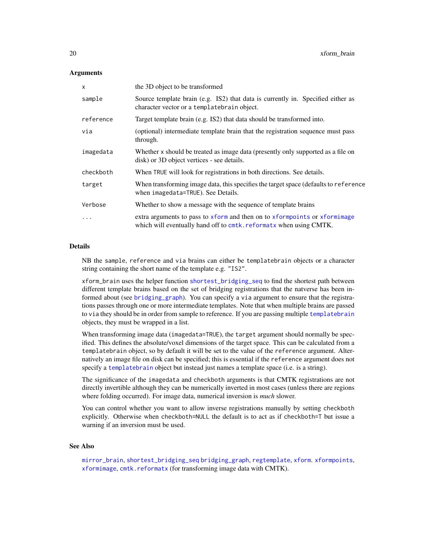#### <span id="page-19-0"></span>**Arguments**

| $\boldsymbol{\mathsf{x}}$ | the 3D object to be transformed                                                                                                                 |
|---------------------------|-------------------------------------------------------------------------------------------------------------------------------------------------|
| sample                    | Source template brain (e.g. IS2) that data is currently in. Specified either as<br>character vector or a templatebrain object.                  |
| reference                 | Target template brain (e.g. IS2) that data should be transformed into.                                                                          |
| via                       | (optional) intermediate template brain that the registration sequence must pass<br>through.                                                     |
| imagedata                 | Whether x should be treated as image data (presently only supported as a file on<br>disk) or 3D object vertices - see details.                  |
| checkboth                 | When TRUE will look for registrations in both directions. See details.                                                                          |
| target                    | When transforming image data, this specifies the target space (defaults to reference<br>when imagedata=TRUE). See Details.                      |
| Verbose                   | Whether to show a message with the sequence of template brains                                                                                  |
| $\ddots$                  | extra arguments to pass to xform and then on to xformpoints or xformimage<br>which will eventually hand off to cmtk. reformatx when using CMTK. |

#### Details

NB the sample, reference and via brains can either be templatebrain objects or a character string containing the short name of the template e.g. "IS2".

xform\_brain uses the helper function [shortest\\_bridging\\_seq](#page-7-2) to find the shortest path between different template brains based on the set of bridging registrations that the natverse has been informed about (see [bridging\\_graph](#page-7-1)). You can specify a via argument to ensure that the registrations passes through one or more intermediate templates. Note that when multiple brains are passed to via they should be in order from sample to reference. If you are passing multiple [templatebrain](#page-15-1) objects, they must be wrapped in a list.

When transforming image data (imagedata=TRUE), the target argument should normally be specified. This defines the absolute/voxel dimensions of the target space. This can be calculated from a templatebrain object, so by default it will be set to the value of the reference argument. Alternatively an image file on disk can be specified; this is essential if the reference argument does not specify a [templatebrain](#page-15-1) object but instead just names a template space (i.e. is a string).

The significance of the imagedata and checkboth arguments is that CMTK registrations are not directly invertible although they can be numerically inverted in most cases (unless there are regions where folding occurred). For image data, numerical inversion is *much* slower.

You can control whether you want to allow inverse registrations manually by setting checkboth explicitly. Otherwise when checkboth=NULL the default is to act as if checkboth=T but issue a warning if an inversion must be used.

#### See Also

[mirror\\_brain](#page-12-1), [shortest\\_bridging\\_seq](#page-7-2) [bridging\\_graph](#page-7-1), [regtemplate](#page-14-1), [xform](#page-0-0). [xformpoints](#page-0-0), [xformimage](#page-0-0), [cmtk.reformatx](#page-0-0) (for transforming image data with CMTK).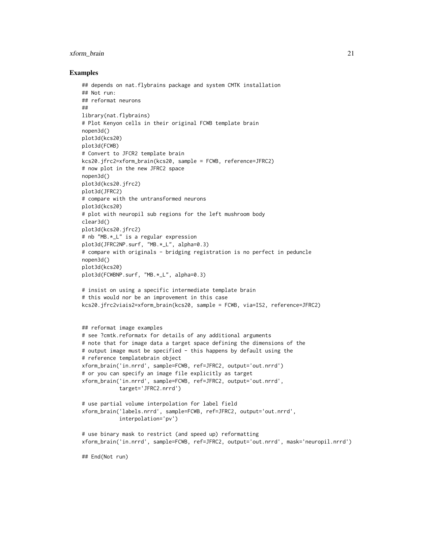## xform\_brain 21

#### Examples

```
## depends on nat.flybrains package and system CMTK installation
## Not run:
## reformat neurons
##
library(nat.flybrains)
# Plot Kenyon cells in their original FCWB template brain
nopen3d()
plot3d(kcs20)
plot3d(FCWB)
# Convert to JFCR2 template brain
kcs20.jfrc2=xform_brain(kcs20, sample = FCWB, reference=JFRC2)
# now plot in the new JFRC2 space
nopen3d()
plot3d(kcs20.jfrc2)
plot3d(JFRC2)
# compare with the untransformed neurons
plot3d(kcs20)
# plot with neuropil sub regions for the left mushroom body
clear3d()
plot3d(kcs20.jfrc2)
# nb "MB.*_L" is a regular expression
plot3d(JFRC2NP.surf, "MB.*_L", alpha=0.3)
# compare with originals - bridging registration is no perfect in peduncle
nopen3d()
plot3d(kcs20)
plot3d(FCWBNP.surf, "MB.*_L", alpha=0.3)
# insist on using a specific intermediate template brain
# this would nor be an improvement in this case
kcs20.jfrc2viais2=xform_brain(kcs20, sample = FCWB, via=IS2, reference=JFRC2)
## reformat image examples
# see ?cmtk.reformatx for details of any additional arguments
# note that for image data a target space defining the dimensions of the
# output image must be specified - this happens by default using the
# reference templatebrain object
xform_brain('in.nrrd', sample=FCWB, ref=JFRC2, output='out.nrrd')
# or you can specify an image file explicitly as target
xform_brain('in.nrrd', sample=FCWB, ref=JFRC2, output='out.nrrd',
            target='JFRC2.nrrd')
# use partial volume interpolation for label field
xform_brain('labels.nrrd', sample=FCWB, ref=JFRC2, output='out.nrrd',
            interpolation='pv')
# use binary mask to restrict (and speed up) reformatting
xform_brain('in.nrrd', sample=FCWB, ref=JFRC2, output='out.nrrd', mask='neuropil.nrrd')
## End(Not run)
```